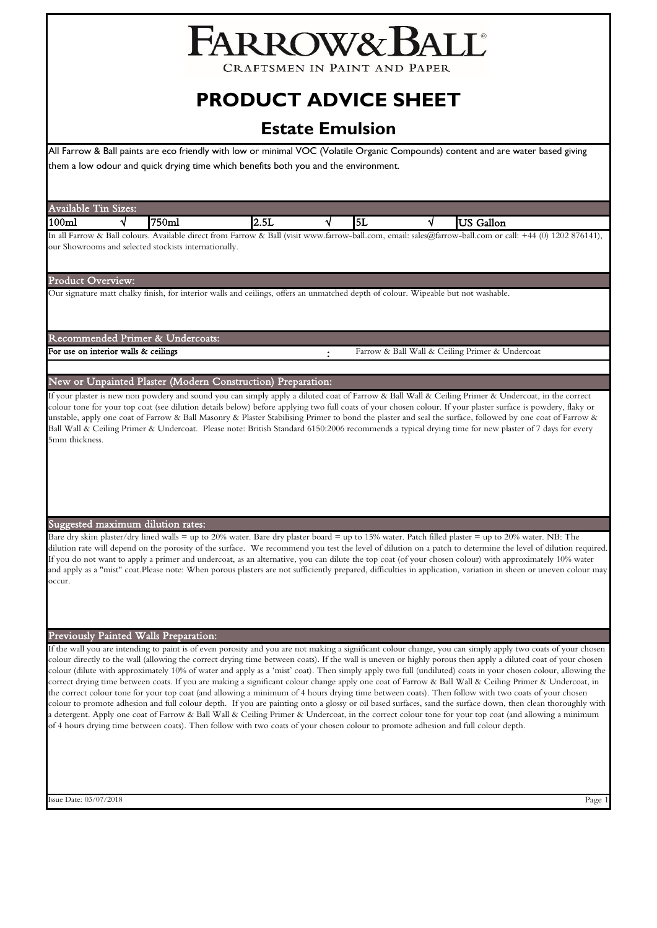# FARROW& BALL®

CRAFTSMEN IN PAINT AND PAPER

# **PRODUCT ADVICE SHEET**

## **Estate Emulsion**

All Farrow & Ball paints are eco friendly with low or minimal VOC (Volatile Organic Compounds) content and are water based giving them a low odour and quick drying time which benefits both you and the environment.

| <b>Available Tin Sizes:</b> |                                                       |                                                                                                                                                                                                                                                                                                                                                                                                                                                                                                                                                                                                                                                                                                                                                                                                                                                                                                                                                                                                                                                                                                                                                                                                                                                                             |   |    |   |                                                 |  |
|-----------------------------|-------------------------------------------------------|-----------------------------------------------------------------------------------------------------------------------------------------------------------------------------------------------------------------------------------------------------------------------------------------------------------------------------------------------------------------------------------------------------------------------------------------------------------------------------------------------------------------------------------------------------------------------------------------------------------------------------------------------------------------------------------------------------------------------------------------------------------------------------------------------------------------------------------------------------------------------------------------------------------------------------------------------------------------------------------------------------------------------------------------------------------------------------------------------------------------------------------------------------------------------------------------------------------------------------------------------------------------------------|---|----|---|-------------------------------------------------|--|
| 100 <sub>ml</sub>           | 750ml                                                 | 2.5L                                                                                                                                                                                                                                                                                                                                                                                                                                                                                                                                                                                                                                                                                                                                                                                                                                                                                                                                                                                                                                                                                                                                                                                                                                                                        | V | 5L | ٧ | <b>US</b> Gallon                                |  |
|                             | our Showrooms and selected stockists internationally. | In all Farrow & Ball colours. Available direct from Farrow & Ball (visit www.farrow-ball.com, email: sales@farrow-ball.com or call: +44 (0) 1202 876141),                                                                                                                                                                                                                                                                                                                                                                                                                                                                                                                                                                                                                                                                                                                                                                                                                                                                                                                                                                                                                                                                                                                   |   |    |   |                                                 |  |
| Product Overview:           |                                                       |                                                                                                                                                                                                                                                                                                                                                                                                                                                                                                                                                                                                                                                                                                                                                                                                                                                                                                                                                                                                                                                                                                                                                                                                                                                                             |   |    |   |                                                 |  |
|                             |                                                       | Our signature matt chalky finish, for interior walls and ceilings, offers an unmatched depth of colour. Wipeable but not washable.                                                                                                                                                                                                                                                                                                                                                                                                                                                                                                                                                                                                                                                                                                                                                                                                                                                                                                                                                                                                                                                                                                                                          |   |    |   |                                                 |  |
|                             |                                                       |                                                                                                                                                                                                                                                                                                                                                                                                                                                                                                                                                                                                                                                                                                                                                                                                                                                                                                                                                                                                                                                                                                                                                                                                                                                                             |   |    |   |                                                 |  |
|                             | Recommended Primer & Undercoats:                      |                                                                                                                                                                                                                                                                                                                                                                                                                                                                                                                                                                                                                                                                                                                                                                                                                                                                                                                                                                                                                                                                                                                                                                                                                                                                             |   |    |   |                                                 |  |
|                             | For use on interior walls & ceilings                  |                                                                                                                                                                                                                                                                                                                                                                                                                                                                                                                                                                                                                                                                                                                                                                                                                                                                                                                                                                                                                                                                                                                                                                                                                                                                             |   |    |   | Farrow & Ball Wall & Ceiling Primer & Undercoat |  |
|                             |                                                       |                                                                                                                                                                                                                                                                                                                                                                                                                                                                                                                                                                                                                                                                                                                                                                                                                                                                                                                                                                                                                                                                                                                                                                                                                                                                             |   |    |   |                                                 |  |
|                             |                                                       | New or Unpainted Plaster (Modern Construction) Preparation:                                                                                                                                                                                                                                                                                                                                                                                                                                                                                                                                                                                                                                                                                                                                                                                                                                                                                                                                                                                                                                                                                                                                                                                                                 |   |    |   |                                                 |  |
| 5mm thickness.              |                                                       | If your plaster is new non powdery and sound you can simply apply a diluted coat of Farrow & Ball Wall & Ceiling Primer & Undercoat, in the correct<br>colour tone for your top coat (see dilution details below) before applying two full coats of your chosen colour. If your plaster surface is powdery, flaky or<br>unstable, apply one coat of Farrow & Ball Masonry & Plaster Stabilising Primer to bond the plaster and seal the surface, followed by one coat of Farrow &<br>Ball Wall & Ceiling Primer & Undercoat. Please note: British Standard 6150:2006 recommends a typical drying time for new plaster of 7 days for every                                                                                                                                                                                                                                                                                                                                                                                                                                                                                                                                                                                                                                   |   |    |   |                                                 |  |
|                             | Suggested maximum dilution rates:                     |                                                                                                                                                                                                                                                                                                                                                                                                                                                                                                                                                                                                                                                                                                                                                                                                                                                                                                                                                                                                                                                                                                                                                                                                                                                                             |   |    |   |                                                 |  |
| occur.                      |                                                       | Bare dry skim plaster/dry lined walls = up to 20% water. Bare dry plaster board = up to 15% water. Patch filled plaster = up to 20% water. NB: The<br>dilution rate will depend on the porosity of the surface. We recommend you test the level of dilution on a patch to determine the level of dilution required.<br>If you do not want to apply a primer and undercoat, as an alternative, you can dilute the top coat (of your chosen colour) with approximately 10% water<br>and apply as a "mist" coat.Please note: When porous plasters are not sufficiently prepared, difficulties in application, variation in sheen or uneven colour may                                                                                                                                                                                                                                                                                                                                                                                                                                                                                                                                                                                                                          |   |    |   |                                                 |  |
|                             | Previously Painted Walls Preparation:                 |                                                                                                                                                                                                                                                                                                                                                                                                                                                                                                                                                                                                                                                                                                                                                                                                                                                                                                                                                                                                                                                                                                                                                                                                                                                                             |   |    |   |                                                 |  |
|                             |                                                       | If the wall you are intending to paint is of even porosity and you are not making a significant colour change, you can simply apply two coats of your chosen<br>colour directly to the wall (allowing the correct drying time between coats). If the wall is uneven or highly porous then apply a diluted coat of your chosen<br>colour (dilute with approximately 10% of water and apply as a 'mist' coat). Then simply apply two full (undiluted) coats in your chosen colour, allowing the<br>correct drying time between coats. If you are making a significant colour change apply one coat of Farrow & Ball Wall & Ceiling Primer & Undercoat, in<br>the correct colour tone for your top coat (and allowing a minimum of 4 hours drying time between coats). Then follow with two coats of your chosen<br>colour to promote adhesion and full colour depth. If you are painting onto a glossy or oil based surfaces, sand the surface down, then clean thoroughly with<br>a detergent. Apply one coat of Farrow & Ball Wall & Ceiling Primer & Undercoat, in the correct colour tone for your top coat (and allowing a minimum<br>of 4 hours drying time between coats). Then follow with two coats of your chosen colour to promote adhesion and full colour depth. |   |    |   |                                                 |  |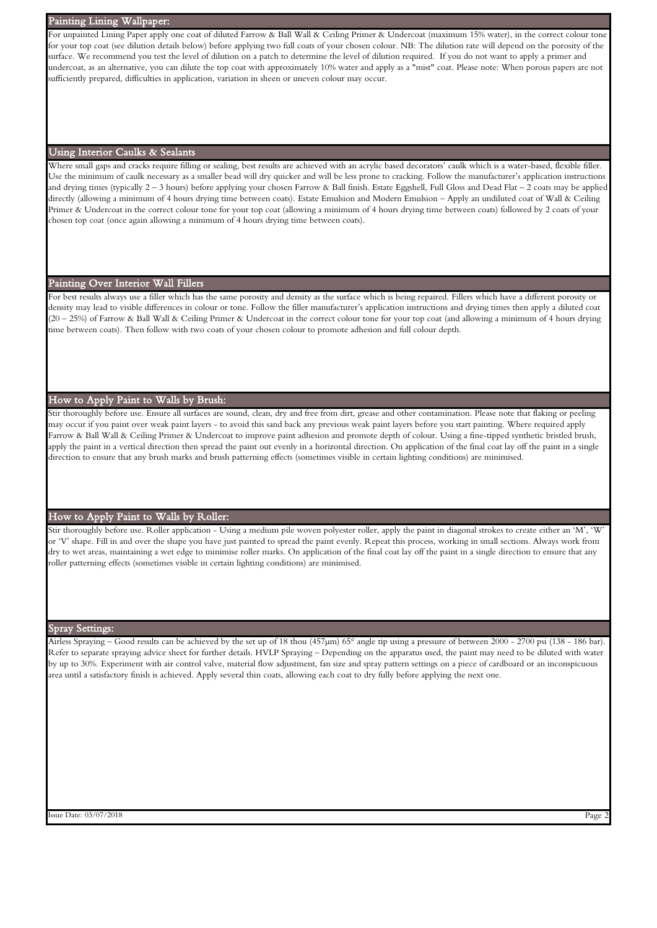#### Painting Lining Wallpaper:

For unpainted Lining Paper apply one coat of diluted Farrow & Ball Wall & Ceiling Primer & Undercoat (maximum 15% water), in the correct colour tone for your top coat (see dilution details below) before applying two full coats of your chosen colour. NB: The dilution rate will depend on the porosity of the surface. We recommend you test the level of dilution on a patch to determine the level of dilution required. If you do not want to apply a primer and undercoat, as an alternative, you can dilute the top coat with approximately 10% water and apply as a "mist" coat. Please note: When porous papers are not sufficiently prepared, difficulties in application, variation in sheen or uneven colour may occur.

#### Using Interior Caulks & Sealants

Where small gaps and cracks require filling or sealing, best results are achieved with an acrylic based decorators' caulk which is a water-based, flexible filler. Use the minimum of caulk necessary as a smaller bead will dry quicker and will be less prone to cracking. Follow the manufacturer's application instructions and drying times (typically 2 – 3 hours) before applying your chosen Farrow & Ball finish. Estate Eggshell, Full Gloss and Dead Flat – 2 coats may be applied directly (allowing a minimum of 4 hours drying time between coats). Estate Emulsion and Modern Emulsion – Apply an undiluted coat of Wall & Ceiling Primer & Undercoat in the correct colour tone for your top coat (allowing a minimum of 4 hours drying time between coats) followed by 2 coats of your chosen top coat (once again allowing a minimum of 4 hours drying time between coats).

#### Painting Over Interior Wall Fillers

For best results always use a filler which has the same porosity and density as the surface which is being repaired. Fillers which have a different porosity or density may lead to visible differences in colour or tone. Follow the filler manufacturer's application instructions and drying times then apply a diluted coat (20 – 25%) of Farrow & Ball Wall & Ceiling Primer & Undercoat in the correct colour tone for your top coat (and allowing a minimum of 4 hours drying time between coats). Then follow with two coats of your chosen colour to promote adhesion and full colour depth.

#### How to Apply Paint to Walls by Brush:

Stir thoroughly before use. Ensure all surfaces are sound, clean, dry and free from dirt, grease and other contamination. Please note that flaking or peeling may occur if you paint over weak paint layers - to avoid this sand back any previous weak paint layers before you start painting. Where required apply Farrow & Ball Wall & Ceiling Primer & Undercoat to improve paint adhesion and promote depth of colour. Using a fine-tipped synthetic bristled brush, apply the paint in a vertical direction then spread the paint out evenly in a horizontal direction. On application of the final coat lay off the paint in a single direction to ensure that any brush marks and brush patterning effects (sometimes visible in certain lighting conditions) are minimised.

### How to Apply Paint to Walls by Roller:

Stir thoroughly before use. Roller application - Using a medium pile woven polyester roller, apply the paint in diagonal strokes to create either an 'M', 'W' or 'V' shape. Fill in and over the shape you have just painted to spread the paint evenly. Repeat this process, working in small sections. Always work from dry to wet areas, maintaining a wet edge to minimise roller marks. On application of the final coat lay off the paint in a single direction to ensure that any roller patterning effects (sometimes visible in certain lighting conditions) are minimised.

#### Spray Settings:

Airless Spraying – Good results can be achieved by the set up of 18 thou (457µm) 65° angle tip using a pressure of between 2000 - 2700 psi (138 - 186 bar). Refer to separate spraying advice sheet for further details. HVLP Spraying – Depending on the apparatus used, the paint may need to be diluted with water by up to 30%. Experiment with air control valve, material flow adjustment, fan size and spray pattern settings on a piece of cardboard or an inconspicuous area until a satisfactory finish is achieved. Apply several thin coats, allowing each coat to dry fully before applying the next one.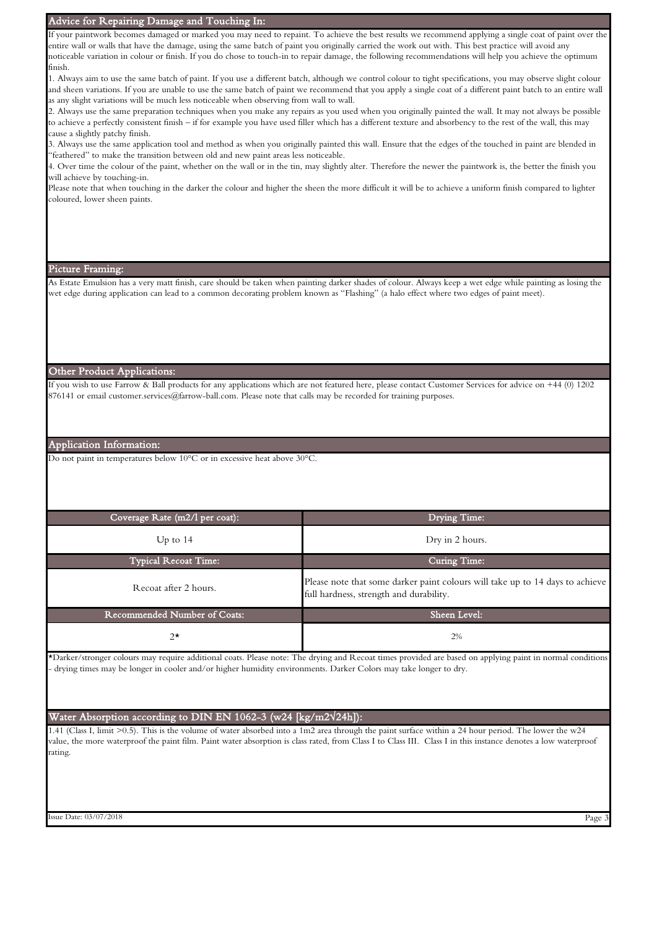| Advice for Repairing Damage and Touching In:                                                                                                          |                                                                                                                                                                                                                                                                                                                                                                                                                                                                           |
|-------------------------------------------------------------------------------------------------------------------------------------------------------|---------------------------------------------------------------------------------------------------------------------------------------------------------------------------------------------------------------------------------------------------------------------------------------------------------------------------------------------------------------------------------------------------------------------------------------------------------------------------|
| finish.                                                                                                                                               | If your paintwork becomes damaged or marked you may need to repaint. To achieve the best results we recommend applying a single coat of paint over the<br>entire wall or walls that have the damage, using the same batch of paint you originally carried the work out with. This best practice will avoid any<br>noticeable variation in colour or finish. If you do chose to touch-in to repair damage, the following recommendations will help you achieve the optimum |
|                                                                                                                                                       | 1. Always aim to use the same batch of paint. If you use a different batch, although we control colour to tight specifications, you may observe slight colour<br>and sheen variations. If you are unable to use the same batch of paint we recommend that you apply a single coat of a different paint batch to an entire wall                                                                                                                                            |
| as any slight variations will be much less noticeable when observing from wall to wall.                                                               | 2. Always use the same preparation techniques when you make any repairs as you used when you originally painted the wall. It may not always be possible<br>to achieve a perfectly consistent finish - if for example you have used filler which has a different texture and absorbency to the rest of the wall, this may                                                                                                                                                  |
| cause a slightly patchy finish.<br>"feathered" to make the transition between old and new paint areas less noticeable.                                | 3. Always use the same application tool and method as when you originally painted this wall. Ensure that the edges of the touched in paint are blended in                                                                                                                                                                                                                                                                                                                 |
| will achieve by touching-in.                                                                                                                          | 4. Over time the colour of the paint, whether on the wall or in the tin, may slightly alter. Therefore the newer the paintwork is, the better the finish you                                                                                                                                                                                                                                                                                                              |
| coloured, lower sheen paints.                                                                                                                         | Please note that when touching in the darker the colour and higher the sheen the more difficult it will be to achieve a uniform finish compared to lighter                                                                                                                                                                                                                                                                                                                |
|                                                                                                                                                       |                                                                                                                                                                                                                                                                                                                                                                                                                                                                           |
|                                                                                                                                                       |                                                                                                                                                                                                                                                                                                                                                                                                                                                                           |
| Picture Framing:                                                                                                                                      |                                                                                                                                                                                                                                                                                                                                                                                                                                                                           |
|                                                                                                                                                       | As Estate Emulsion has a very matt finish, care should be taken when painting darker shades of colour. Always keep a wet edge while painting as losing the<br>wet edge during application can lead to a common decorating problem known as "Flashing" (a halo effect where two edges of paint meet).                                                                                                                                                                      |
| Other Product Applications:                                                                                                                           |                                                                                                                                                                                                                                                                                                                                                                                                                                                                           |
| 876141 or email customer.services@farrow-ball.com. Please note that calls may be recorded for training purposes.                                      | If you wish to use Farrow & Ball products for any applications which are not featured here, please contact Customer Services for advice on +44 (0) 1202                                                                                                                                                                                                                                                                                                                   |
| Application Information:                                                                                                                              |                                                                                                                                                                                                                                                                                                                                                                                                                                                                           |
| Do not paint in temperatures below 10°C or in excessive heat above 30°C.                                                                              |                                                                                                                                                                                                                                                                                                                                                                                                                                                                           |
| Coverage Rate (m2/l per coat):                                                                                                                        | <b>Drying Time:</b>                                                                                                                                                                                                                                                                                                                                                                                                                                                       |
| Up to $14$                                                                                                                                            | Dry in 2 hours.                                                                                                                                                                                                                                                                                                                                                                                                                                                           |
| <b>Typical Recoat Time:</b>                                                                                                                           | Curing Time:                                                                                                                                                                                                                                                                                                                                                                                                                                                              |
| Recoat after 2 hours.                                                                                                                                 | Please note that some darker paint colours will take up to 14 days to achieve<br>full hardness, strength and durability.                                                                                                                                                                                                                                                                                                                                                  |
| Recommended Number of Coats:                                                                                                                          | Sheen Level:                                                                                                                                                                                                                                                                                                                                                                                                                                                              |
| $2^{\star}$                                                                                                                                           | 2%                                                                                                                                                                                                                                                                                                                                                                                                                                                                        |
| drying times may be longer in cooler and/or higher humidity environments. Darker Colors may take longer to dry.                                       | *Darker/stronger colours may require additional coats. Please note: The drying and Recoat times provided are based on applying paint in normal conditions                                                                                                                                                                                                                                                                                                                 |
| Water Absorption according to DIN EN 1062-3 (w24 [kg/m2 $\sqrt{24h}$ ]):                                                                              |                                                                                                                                                                                                                                                                                                                                                                                                                                                                           |
| 1.41 (Class I, limit >0.5). This is the volume of water absorbed into a 1m2 area through the paint surface within a 24 hour period. The lower the w24 |                                                                                                                                                                                                                                                                                                                                                                                                                                                                           |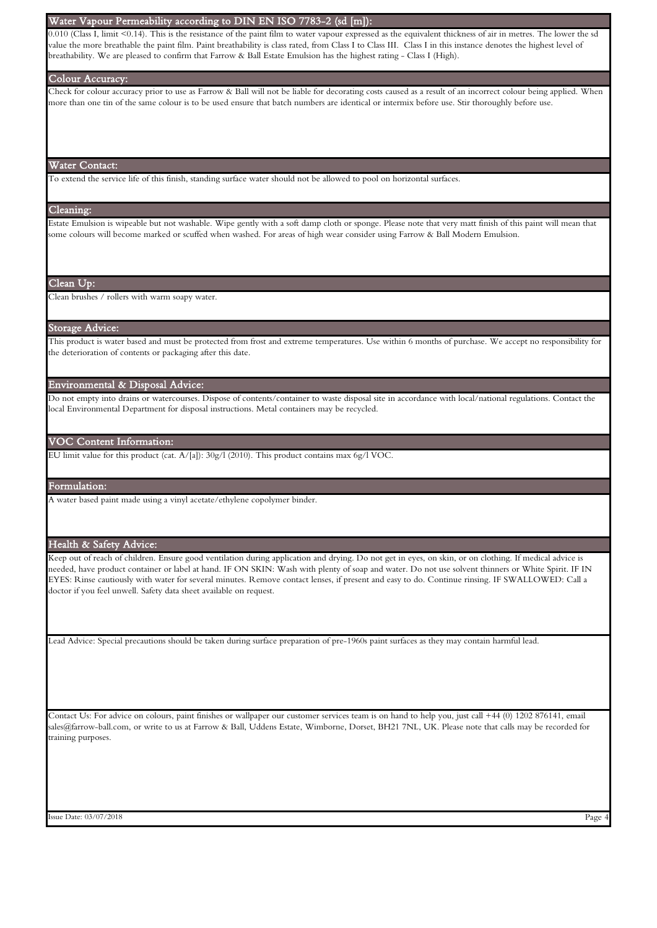#### Water Vapour Permeability according to DIN EN ISO 7783-2 (sd [m]):

 $0.010$  (Class I, limit <0.14). This is the resistance of the paint film to water vapour expressed as the equivalent thickness of air in metres. The lower the sd value the more breathable the paint film. Paint breathability is class rated, from Class I to Class III. Class I in this instance denotes the highest level of breathability. We are pleased to confirm that Farrow & Ball Estate Emulsion has the highest rating - Class I (High).

#### Colour Accuracy:

Check for colour accuracy prior to use as Farrow & Ball will not be liable for decorating costs caused as a result of an incorrect colour being applied. When more than one tin of the same colour is to be used ensure that batch numbers are identical or intermix before use. Stir thoroughly before use.

#### Water Contact:

To extend the service life of this finish, standing surface water should not be allowed to pool on horizontal surfaces.

#### Cleaning:

Estate Emulsion is wipeable but not washable. Wipe gently with a soft damp cloth or sponge. Please note that very matt finish of this paint will mean that some colours will become marked or scuffed when washed. For areas of high wear consider using Farrow & Ball Modern Emulsion.

#### Clean Up:

Clean brushes / rollers with warm soapy water.

#### Storage Advice:

This product is water based and must be protected from frost and extreme temperatures. Use within 6 months of purchase. We accept no responsibility for the deterioration of contents or packaging after this date.

#### Environmental & Disposal Advice:

Do not empty into drains or watercourses. Dispose of contents/container to waste disposal site in accordance with local/national regulations. Contact the local Environmental Department for disposal instructions. Metal containers may be recycled.

#### VOC Content Information:

EU limit value for this product (cat. A/[a]): 30g/l (2010). This product contains max 6g/l VOC.

#### Formulation:

A water based paint made using a vinyl acetate/ethylene copolymer binder.

## Health & Safety Advice:

Keep out of reach of children. Ensure good ventilation during application and drying. Do not get in eyes, on skin, or on clothing. If medical advice is needed, have product container or label at hand. IF ON SKIN: Wash with plenty of soap and water. Do not use solvent thinners or White Spirit. IF IN EYES: Rinse cautiously with water for several minutes. Remove contact lenses, if present and easy to do. Continue rinsing. IF SWALLOWED: Call a doctor if you feel unwell. Safety data sheet available on request.

Lead Advice: Special precautions should be taken during surface preparation of pre-1960s paint surfaces as they may contain harmful lead.

Contact Us: For advice on colours, paint finishes or wallpaper our customer services team is on hand to help you, just call +44 (0) 1202 876141, email sales@farrow-ball.com, or write to us at Farrow & Ball, Uddens Estate, Wimborne, Dorset, BH21 7NL, UK. Please note that calls may be recorded for training purposes.